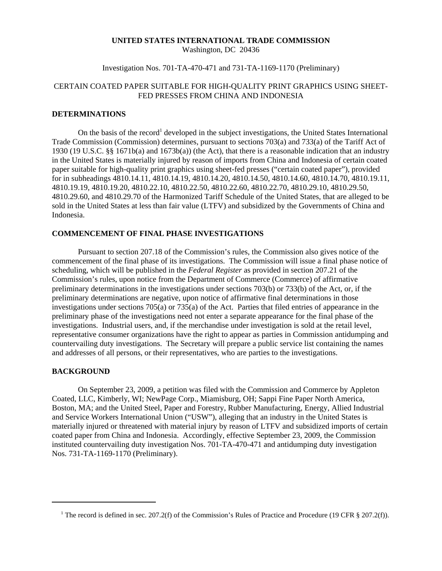# **UNITED STATES INTERNATIONAL TRADE COMMISSION**

Washington, DC 20436

## Investigation Nos. 701-TA-470-471 and 731-TA-1169-1170 (Preliminary)

# CERTAIN COATED PAPER SUITABLE FOR HIGH-QUALITY PRINT GRAPHICS USING SHEET-FED PRESSES FROM CHINA AND INDONESIA

#### **DETERMINATIONS**

On the basis of the record<sup>1</sup> developed in the subject investigations, the United States International Trade Commission (Commission) determines, pursuant to sections 703(a) and 733(a) of the Tariff Act of 1930 (19 U.S.C. §§ 1671b(a) and 1673b(a)) (the Act), that there is a reasonable indication that an industry in the United States is materially injured by reason of imports from China and Indonesia of certain coated paper suitable for high-quality print graphics using sheet-fed presses ("certain coated paper"), provided for in subheadings 4810.14.11, 4810.14.19, 4810.14.20, 4810.14.50, 4810.14.60, 4810.14.70, 4810.19.11, 4810.19.19, 4810.19.20, 4810.22.10, 4810.22.50, 4810.22.60, 4810.22.70, 4810.29.10, 4810.29.50, 4810.29.60, and 4810.29.70 of the Harmonized Tariff Schedule of the United States, that are alleged to be sold in the United States at less than fair value (LTFV) and subsidized by the Governments of China and Indonesia.

# **COMMENCEMENT OF FINAL PHASE INVESTIGATIONS**

Pursuant to section 207.18 of the Commission's rules, the Commission also gives notice of the commencement of the final phase of its investigations. The Commission will issue a final phase notice of scheduling, which will be published in the *Federal Register* as provided in section 207.21 of the Commission's rules, upon notice from the Department of Commerce (Commerce) of affirmative preliminary determinations in the investigations under sections 703(b) or 733(b) of the Act, or, if the preliminary determinations are negative, upon notice of affirmative final determinations in those investigations under sections 705(a) or 735(a) of the Act. Parties that filed entries of appearance in the preliminary phase of the investigations need not enter a separate appearance for the final phase of the investigations. Industrial users, and, if the merchandise under investigation is sold at the retail level, representative consumer organizations have the right to appear as parties in Commission antidumping and countervailing duty investigations. The Secretary will prepare a public service list containing the names and addresses of all persons, or their representatives, who are parties to the investigations.

## **BACKGROUND**

On September 23, 2009, a petition was filed with the Commission and Commerce by Appleton Coated, LLC, Kimberly, WI; NewPage Corp., Miamisburg, OH; Sappi Fine Paper North America, Boston, MA; and the United Steel, Paper and Forestry, Rubber Manufacturing, Energy, Allied Industrial and Service Workers International Union ("USW"), alleging that an industry in the United States is materially injured or threatened with material injury by reason of LTFV and subsidized imports of certain coated paper from China and Indonesia. Accordingly, effective September 23, 2009, the Commission instituted countervailing duty investigation Nos. 701-TA-470-471 and antidumping duty investigation Nos. 731-TA-1169-1170 (Preliminary).

<sup>&</sup>lt;sup>1</sup> The record is defined in sec. 207.2(f) of the Commission's Rules of Practice and Procedure (19 CFR § 207.2(f)).